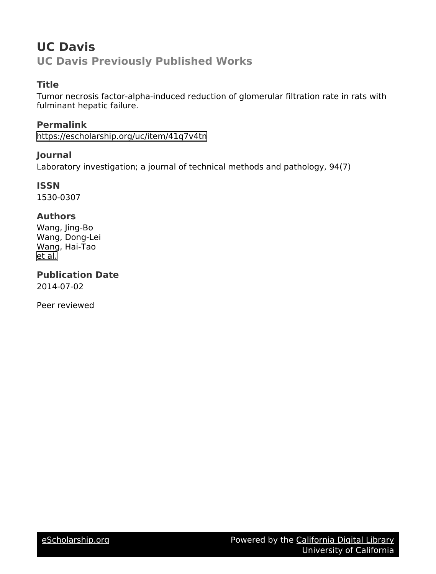# **UC Davis UC Davis Previously Published Works**

# **Title**

Tumor necrosis factor-alpha-induced reduction of glomerular filtration rate in rats with fulminant hepatic failure.

**Permalink** <https://escholarship.org/uc/item/41q7v4tn>

**Journal**

Laboratory investigation; a journal of technical methods and pathology, 94(7)

**ISSN** 1530-0307

## **Authors**

Wang, Jing-Bo Wang, Dong-Lei Wang, Hai-Tao [et al.](https://escholarship.org/uc/item/41q7v4tn#author)

**Publication Date** 2014-07-02

Peer reviewed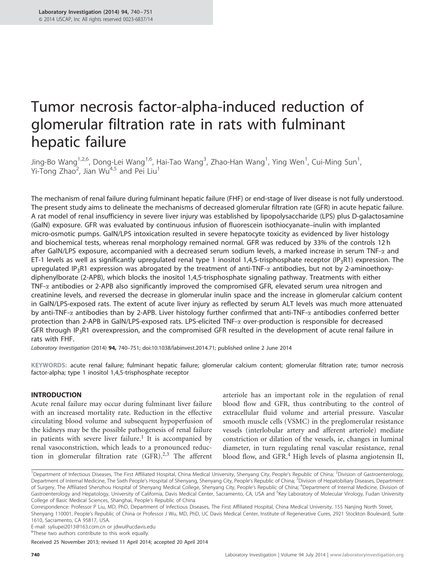# Tumor necrosis factor-alpha-induced reduction of glomerular filtration rate in rats with fulminant hepatic failure

Jing-Bo Wang $^{1,2,6}$ , Dong-Lei Wang $^{1,6}$ , Hai-Tao Wang $^3$ , Zhao-Han Wang $^1$ , Ying Wen $^1$ , Cui-Ming Sun $^1$ , Yi-Tong Zhao<sup>2</sup>, Jian Wu<sup>4,5</sup> and Pei Liu<sup>1</sup>

The mechanism of renal failure during fulminant hepatic failure (FHF) or end-stage of liver disease is not fully understood. The present study aims to delineate the mechanisms of decreased glomerular filtration rate (GFR) in acute hepatic failure. A rat model of renal insufficiency in severe liver injury was established by lipopolysaccharide (LPS) plus D-galactosamine (GalN) exposure. GFR was evaluated by continuous infusion of fluorescein isothiocyanate–inulin with implanted micro-osmotic pumps. GalN/LPS intoxication resulted in severe hepatocyte toxicity as evidenced by liver histology and biochemical tests, whereas renal morphology remained normal. GFR was reduced by 33% of the controls 12 h after GalN/LPS exposure, accompanied with a decreased serum sodium levels, a marked increase in serum TNF- $\alpha$  and ET-1 levels as well as significantly upregulated renal type 1 inositol 1,4,5-trisphosphate receptor (IP<sub>3</sub>R1) expression. The upregulated IP<sub>3</sub>R1 expression was abrogated by the treatment of anti-TNF- $\alpha$  antibodies, but not by 2-aminoethoxydiphenylborate (2-APB), which blocks the inositol 1,4,5-trisphosphate signaling pathway. Treatments with either TNF- $\alpha$  antibodies or 2-APB also significantly improved the compromised GFR, elevated serum urea nitrogen and creatinine levels, and reversed the decrease in glomerular inulin space and the increase in glomerular calcium content in GalN/LPS-exposed rats. The extent of acute liver injury as reflected by serum ALT levels was much more attenuated by anti-TNF- $\alpha$  antibodies than by 2-APB. Liver histology further confirmed that anti-TNF- $\alpha$  antibodies conferred better protection than 2-APB in GalN/LPS-exposed rats. LPS-elicited TNF- $\alpha$  over-production is responsible for decreased GFR through IP<sub>3</sub>R1 overexpression, and the compromised GFR resulted in the development of acute renal failure in rats with FHF.

Laboratory Investigation (2014) 94, 740–751; doi[:10.1038/labinvest.2014.71;](http://dx.doi.org/10.1038/labinvest.2014.71) published online 2 June 2014

KEYWORDS: acute renal failure; fulminant hepatic failure; glomerular calcium content; glomerular filtration rate; tumor necrosis factor-alpha; type 1 inositol 1,4,5-trisphosphate receptor

## INTRODUCTION

Acute renal failure may occur during fulminant liver failure with an increased mortality rate. Reduction in the effective circulating blood volume and subsequent hypoperfusion of the kidneys may be the possible pathogenesis of renal failure in patients with severe liver failure.<sup>[1](#page-11-0)</sup> It is accompanied by renal vasoconstriction, which leads to a pronounced reduction in glomerular filtration rate  $(GFR).^{2,3}$  $(GFR).^{2,3}$  $(GFR).^{2,3}$  The afferent

arteriole has an important role in the regulation of renal blood flow and GFR, thus contributing to the control of extracellular fluid volume and arterial pressure. Vascular smooth muscle cells (VSMC) in the preglomerular resistance vessels (interlobular artery and afferent arteriole) mediate constriction or dilation of the vessels, ie, changes in luminal diameter, in turn regulating renal vascular resistance, renal blood flow, and GFR.<sup>[4](#page-11-0)</sup> High levels of plasma angiotensin II,

E-mail: [syliupei2013@163.com.cn](mailto:syliupei2013@163.com.cn) or [jdwu@ucdavis.edu](mailto:jdwu@ucdavis.edu)

<sup>6</sup>These two authors contribute to this work equally.

Received 25 November 2013; revised 11 April 2014; accepted 20 April 2014

<sup>&</sup>lt;sup>1</sup>Department of Infectious Diseases, The First Affiliated Hospital, China Medical University, Shenyang City, People's Republic of China; <sup>2</sup>Division of Gastroenterology, Department of Internal Medicine, The Sixth People's Hospital of Shenyang, Shenyang City, People's Republic of China; <sup>3</sup>Division of Hepatobiliary Diseases, Department of Surgery, The Affiliated Shenzhou Hospital of Shenyang Medical College, Shenyang City, People's Republic of China; <sup>4</sup>Department of Internal Medicine, Division of Gastroenterology and Hepatology, University of California, Davis Medical Center, Sacramento, CA, USA and <sup>5</sup>Key Laboratory of Molecular Virology, Fudan University College of Basic Medical Sciences, Shanghai, People's Republic of China

Correspondence: Professor P Liu, MD, PhD, Department of Infectious Diseases, The First Affiliated Hospital, China Medical University, 155 Nanjing North Street, Shenyang 110001, People's Republic of China or Professor J Wu, MD, PhD, UC Davis Medical Center, Institute of Regenerative Cures, 2921 Stockton Boulevard, Suite 1610, Sacramento, CA 95817, USA.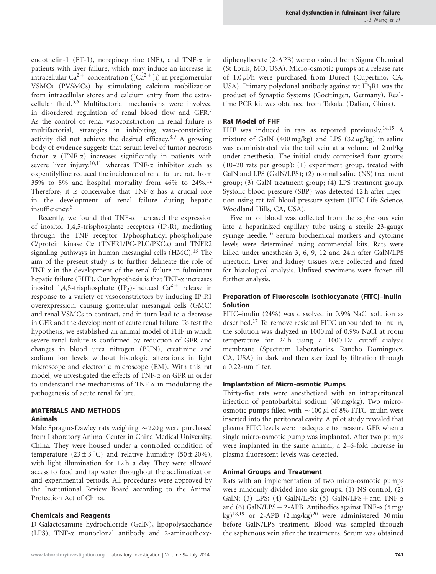endothelin-1 (ET-1), norepinephrine (NE), and TNF-a in patients with liver failure, which may induce an increase in intracellular Ca<sup>2+</sup> concentration ([Ca<sup>2+</sup>]i) in preglomerular VSMCs (PVSMCs) by stimulating calcium mobilization from intracellular stores and calcium entry from the extracellular fluid.[5,6](#page-11-0) Multifactorial mechanisms were involved in disordered regulation of renal blood flow and GFR.[7](#page-11-0) As the control of renal vasoconstriction in renal failure is multifactorial, strategies in inhibiting vaso-constrictive activity did not achieve the desired efficacy.[8,9](#page-11-0) A growing body of evidence suggests that serum level of tumor necrosis factor  $\alpha$  (TNF- $\alpha$ ) increases significantly in patients with severe liver injury,<sup>10,11</sup> whereas TNF- $\alpha$  inhibitor such as oxpentifylline reduced the incidence of renal failure rate from 35% to 8% and hospital mortality from 46% to 24%.[12](#page-11-0) Therefore, it is conceivable that  $TNF-\alpha$  has a crucial role in the development of renal failure during hepatic insufficiency.[6](#page-11-0)

Recently, we found that  $TNF-\alpha$  increased the expression of inositol 1,4,5-trisphosphate receptors  $(IP_3R)$ , mediating through the TNF receptor 1/phosphatidyl-phospholipase C/protein kinase  $C\alpha$  (TNFR1/PC-PLC/PKC $\alpha$ ) and TNFR2 signaling pathways in human mesangial cells  $(HMC).<sup>13</sup>$  $(HMC).<sup>13</sup>$  $(HMC).<sup>13</sup>$  The aim of the present study is to further delineate the role of TNF- $\alpha$  in the development of the renal failure in fulminant hepatic failure (FHF). Our hypothesis is that  $TNF-\alpha$  increases inositol 1,4,5-trisphosphate (IP<sub>3</sub>)-induced Ca<sup>2+</sup> release in response to a variety of vasoconstrictors by inducing  $IP_3R1$ overexpression, causing glomerular mesangial cells (GMC) and renal VSMCs to contract, and in turn lead to a decrease in GFR and the development of acute renal failure. To test the hypothesis, we established an animal model of FHF in which severe renal failure is confirmed by reduction of GFR and changes in blood urea nitrogen (BUN), creatinine and sodium ion levels without histologic alterations in light microscope and electronic microscope (EM). With this rat model, we investigated the effects of TNF-a on GFR in order to understand the mechanisms of TNF- $\alpha$  in modulating the pathogenesis of acute renal failure.

#### MATERIALS AND METHODS Animals

Male Sprague-Dawley rats weighing  $\sim$  220 g were purchased from Laboratory Animal Center in China Medical University, China. They were housed under a controlled condition of temperature  $(23 \pm 3 \degree C)$  and relative humidity  $(50 \pm 20\%)$ , with light illumination for 12 h a day. They were allowed access to food and tap water throughout the acclimatization and experimental periods. All procedures were approved by the Institutional Review Board according to the Animal Protection Act of China.

## Chemicals and Reagents

D-Galactosamine hydrochloride (GalN), lipopolysaccharide (LPS), TNF-a monoclonal antibody and 2-aminoethoxydiphenylborate (2-APB) were obtained from Sigma Chemical (St Louis, MO, USA). Micro-osmotic pumps at a release rate of  $1.0 \mu$ l/h were purchased from Durect (Cupertino, CA, USA). Primary polyclonal antibody against rat  $IP_3R1$  was the product of Synaptic Systems (Goettingen, Germany). Realtime PCR kit was obtained from Takaka (Dalian, China).

## Rat Model of FHF

FHF was induced in rats as reported previously.<sup>[14,15](#page-11-0)</sup> A mixture of GalN (400 mg/kg) and LPS (32  $\mu$ g/kg) in saline was administrated via the tail vein at a volume of 2 ml/kg under anesthesia. The initial study comprised four groups (10–20 rats per group): (1) experiment group, treated with GalN and LPS (GalN/LPS); (2) normal saline (NS) treatment group; (3) GalN treatment group; (4) LPS treatment group. Systolic blood pressure (SBP) was detected 12 h after injection using rat tail blood pressure system (IITC Life Science, Woodland Hills, CA, USA).

Five ml of blood was collected from the saphenous vein into a heparinized capillary tube using a sterile 23-gauge syringe needle.<sup>[16](#page-12-0)</sup> Serum biochemical markers and cytokine levels were determined using commercial kits. Rats were killed under anesthesia 3, 6, 9, 12 and 24 h after GalN/LPS injection. Liver and kidney tissues were collected and fixed for histological analysis. Unfixed specimens were frozen till further analysis.

## Preparation of Fluorescein Isothiocyanate (FITC)–Inulin **Solution**

FITC–inulin (24%) was dissolved in 0.9% NaCl solution as described[.17](#page-12-0) To remove residual FITC unbounded to inulin, the solution was dialyzed in 1000 ml of 0.9% NaCl at room temperature for 24 h using a 1000-Da cutoff dialysis membrane (Spectrum Laboratories, Rancho Dominguez, CA, USA) in dark and then sterilized by filtration through a  $0.22$ - $\mu$ m filter.

## Implantation of Micro-osmotic Pumps

Thirty-five rats were anesthetized with an intraperitoneal injection of pentobarbital sodium (40 mg/kg). Two microosmotic pumps filled with  $\sim$  100  $\mu$ l of 8% FITC–inulin were inserted into the peritoneal cavity. A pilot study revealed that plasma FITC levels were inadequate to measure GFR when a single micro-osmotic pump was implanted. After two pumps were implanted in the same animal, a 2–6-fold increase in plasma fluorescent levels was detected.

## Animal Groups and Treatment

Rats with an implementation of two micro-osmotic pumps were randomly divided into six groups: (1) NS control; (2) GalN; (3) LPS; (4) GalN/LPS; (5) GalN/LPS + anti-TNF- $\alpha$ and (6) GalN/LPS + 2-APB. Antibodies against TNF- $\alpha$  (5 mg/ kg)<sup>[18,19](#page-12-0)</sup> or 2-APB  $(2 \text{ mg/kg})^{20}$  $(2 \text{ mg/kg})^{20}$  $(2 \text{ mg/kg})^{20}$  were administered 30 min before GalN/LPS treatment. Blood was sampled through the saphenous vein after the treatments. Serum was obtained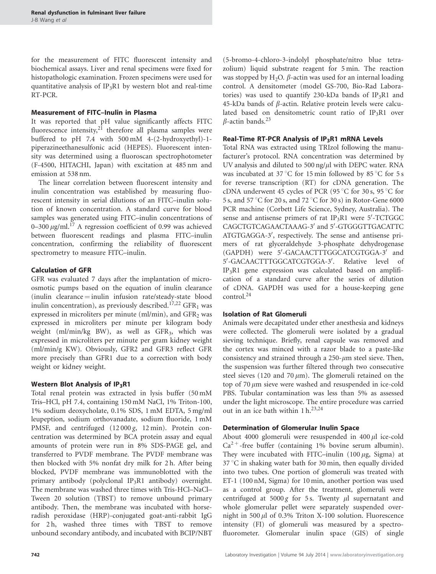for the measurement of FITC fluorescent intensity and biochemical assays. Liver and renal specimens were fixed for histopathologic examination. Frozen specimens were used for quantitative analysis of  $IP_3R1$  by western blot and real-time RT-PCR.

## Measurement of FITC–Inulin in Plasma

It was reported that pH value significantly affects FITC fluorescence intensity,<sup>[21](#page-12-0)</sup> therefore all plasma samples were buffered to pH 7.4 with 500 mM 4-(2-hydroxyethyl)-1 piperazineethanesulfonic acid (HEPES). Fluorescent intensity was determined using a fluoroscan spectrophotometer (F-4500, HITACHI, Japan) with excitation at 485 nm and emission at 538 nm.

The linear correlation between fluorescent intensity and inulin concentration was established by measuring fluorescent intensity in serial dilutions of an FITC–inulin solution of known concentration. A standard curve for blood samples was generated using FITC–inulin concentrations of 0–300  $\mu$ g/ml.<sup>[17](#page-12-0)</sup> A regression coefficient of 0.99 was achieved between fluorescent readings and plasma FITC–inulin concentration, confirming the reliability of fluorescent spectrometry to measure FITC–inulin.

## Calculation of GFR

GFR was evaluated 7 days after the implantation of microosmotic pumps based on the equation of inulin clearance  $(i$ nulin clearance  $=i$  nulin infusion rate/steady-state blood inulin concentration), as previously described.<sup>[17,22](#page-12-0)</sup> GFR<sub>1</sub> was expressed in microliters per minute (ml/min), and  $GFR<sub>2</sub>$  was expressed in microliters per minute per kilogram body weight (ml/min/kg BW), as well as  $GFR<sub>3</sub>$ , which was expressed in microliters per minute per gram kidney weight (ml/min/g KW). Obviously, GFR2 and GFR3 reflect GFR more precisely than GFR1 due to a correction with body weight or kidney weight.

## Western Blot Analysis of  $IP_3R1$

Total renal protein was extracted in lysis buffer (50 mM Tris–HCl, pH 7.4, containing 150 mM NaCl, 1% Triton-100, 1% sodium deoxycholate, 0.1% SDS, 1 mM EDTA, 5 mg/ml leupeption, sodium orthovanadate, sodium fluoride, 1 mM PMSF, and centrifuged (12000 g, 12 min). Protein concentration was determined by BCA protein assay and equal amounts of protein were run in 8% SDS-PAGE gel, and transferred to PVDF membrane. The PVDF membrane was then blocked with 5% nonfat dry milk for 2 h. After being blocked, PVDF membrane was immunoblotted with the primary antibody (polyclonal IP<sub>3</sub>R1 antibody) overnight. The membrane was washed three times with Tris-HCl–NaCl– Tween 20 solution (TBST) to remove unbound primary antibody. Then, the membrane was incubated with horseradish peroxidase (HRP)-conjugated goat-anti-rabbit IgG for 2 h, washed three times with TBST to remove unbound secondary antibody, and incubated with BCIP/NBT

(5-bromo-4-chloro-3-indolyl phosphate/nitro blue tetrazolium) liquid substrate reagent for 5 min. The reaction was stopped by  $H_2O$ .  $\beta$ -actin was used for an internal loading control. A densitometer (model GS-700, Bio-Rad Laboratories) was used to quantify 230-kDa bands of  $IP_3R1$  and 45-kDa bands of  $\beta$ -actin. Relative protein levels were calculated based on densitometric count ratio of  $IP_3R1$  over  $\beta$ -actin bands.<sup>[23](#page-12-0)</sup>

## Real-Time RT-PCR Analysis of  $IP_3R1$  mRNA Levels

Total RNA was extracted using TRIzol following the manufacturer's protocol. RNA concentration was determined by UV analysis and diluted to 500 ng/ $\mu$ l with DEPC water. RNA was incubated at 37 $\mathrm{C}$  for 15 min followed by 85 $\mathrm{C}$  for 5 s for reverse transcription (RT) for cDNA generation. The cDNA underwent 45 cycles of PCR (95 $\degree$ C for 30 s, 95 $\degree$ C for 5 s, and 57 °C for 20 s, and 72 °C for 30 s) in Rotor-Gene 6000 PCR machine (Corbett Life Science, Sydney, Australia). The sense and antisense primers of rat  $IP_3R1$  were 5'-TCTGGC CAGCTGTCAGAACTAAAG-3' and 5'-GTGGGTTGACATTC ATGTGAGGA-3', respectively. The sense and antisense primers of rat glyceraldehyde 3-phosphate dehydrogenase (GAPDH) were 5'-GACAACTTTGGCATCGTGGA-3' and 5'-GACAACTTTGGCATCGTGGA-3'. Relative level of  $IP<sub>3</sub>R1$  gene expression was calculated based on amplification of a standard curve after the series of dilution of cDNA. GAPDH was used for a house-keeping gene control.[24](#page-12-0)

## Isolation of Rat Glomeruli

Animals were decapitated under ether anesthesia and kidneys were collected. The glomeruli were isolated by a gradual sieving technique. Briefly, renal capsule was removed and the cortex was minced with a razor blade to a paste-like consistency and strained through a  $250$ - $\mu$ m steel sieve. Then, the suspension was further filtered through two consecutive steel sieves (120 and 70  $\mu$ m). The glomeruli retained on the top of  $70 \mu m$  sieve were washed and resuspended in ice-cold PBS. Tubular contamination was less than 5% as assessed under the light microscope. The entire procedure was carried out in an ice bath within  $1 h^{23,24}$  $1 h^{23,24}$  $1 h^{23,24}$ 

#### Determination of Glomerular Inulin Space

About 4000 glomeruli were resuspended in 400  $\mu$ l ice-cold  $Ca^{2+}$ -free buffer (containing 1% bovine serum albumin). They were incubated with FITC–inulin  $(100 \,\mu\text{g}, \text{Sigma})$  at  $37^{\circ}$ C in shaking water bath for 30 min, then equally divided into two tubes. One portion of glomeruli was treated with ET-1 (100 nM, Sigma) for 10 min, another portion was used as a control group. After the treatment, glomeruli were centrifuged at  $5000 g$  for 5s. Twenty  $\mu$ l supernatant and whole glomerular pellet were separately suspended overnight in 500  $\mu$ l of 0.3% Triton X-100 solution. Fluorescence intensity (FI) of glomeruli was measured by a spectrofluorometer. Glomerular inulin space (GIS) of single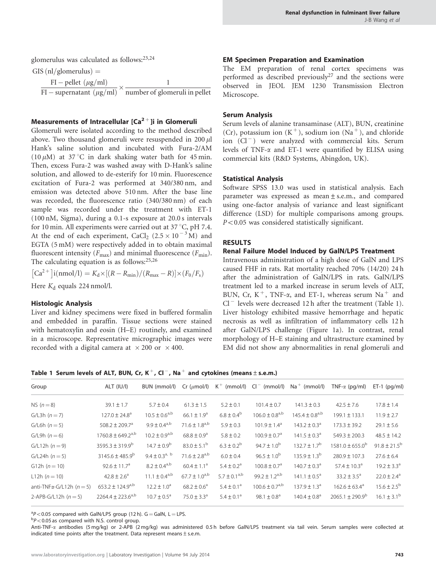glomerulus was calculated as follows:[23,24](#page-12-0)

GIS  $(nl/glomerulus)$  =

 $FI$  – pellet  $(\mu g/ml)$  $\frac{1}{\text{FI} - \text{supernatural}(kg/ml)} \times \frac{1}{\text{number of glomeruli in pellet}}$ 1

## Measurements of Intracellular  $[Ca^{2+}]$ i in Glomeruli

Glomeruli were isolated according to the method described above. Two thousand glomeruli were resuspended in 200  $\mu$ l Hank's saline solution and incubated with Fura-2/AM (10  $\mu$ M) at 37 °C in dark shaking water bath for 45 min. Then, excess Fura-2 was washed away with D-Hank's saline solution, and allowed to de-esterify for 10 min. Fluorescence excitation of Fura-2 was performed at 340/380 nm, and emission was detected above 510 nm. After the base line was recorded, the fluorescence ratio (340/380 nm) of each sample was recorded under the treatment with ET-1 (100 nM, Sigma), during a 0.1-s exposure at 20.0 s intervals for 10 min. All experiments were carried out at 37  $^{\circ}$ C, pH 7.4. At the end of each experiment,  $CaCl<sub>2</sub>$   $(2.5 \times 10^{-3} \text{ M})$  and EGTA (5 mM) were respectively added in to obtain maximal fluorescent intensity ( $F_{\text{max}}$ ) and minimal fluorescence ( $F_{\text{min}}$ ). The calculating equation is as follows: $25,26$ 

$$
[Ca^{2+}]i(nmol/l) = K_d \times [(R - R_{min})/(R_{max} - R)] \times (F_0/F_s)
$$

Here  $K_d$  equals 224 nmol/l.

#### Histologic Analysis

Liver and kidney specimens were fixed in buffered formalin and embedded in paraffin. Tissue sections were stained with hematoxylin and eosin (H–E) routinely, and examined in a microscope. Representative micrographic images were recorded with a digital camera at  $\times$  200 or  $\times$  400.

### EM Specimen Preparation and Examination

The EM preparation of renal cortex specimens was performed as described previously<sup>[27](#page-12-0)</sup> and the sections were observed in JEOL JEM 1230 Transmission Electron Microscope.

#### Serum Analysis

Serum levels of alanine transaminase (ALT), BUN, creatinine (Cr), potassium ion  $(K^+)$ , sodium ion  $(Na^+)$ , and chloride ion (Cl<sup>-</sup>) were analyzed with commercial kits. Serum levels of TNF-a and ET-1 were quantified by ELISA using commercial kits (R&D Systems, Abingdon, UK).

#### Statistical Analysis

Software SPSS 13.0 was used in statistical analysis. Each parameter was expressed as mean  $\pm$  s.e.m., and compared using one-factor analysis of variance and least significant difference (LSD) for multiple comparisons among groups.  $P<0.05$  was considered statistically significant.

#### RESULTS

#### Renal Failure Model Induced by GalN/LPS Treatment

Intravenous administration of a high dose of GalN and LPS caused FHF in rats. Rat mortality reached 70% (14/20) 24 h after the administration of GalN/LPS in rats. GalN/LPS treatment led to a marked increase in serum levels of ALT, BUN, Cr, K<sup>+</sup>, TNF- $\alpha$ , and ET-1, whereas serum Na<sup>+</sup> and  $Cl^-$  levels were decreased 12 h after the treatment (Table 1). Liver histology exhibited massive hemorrhage and hepatic necrosis as well as infiltration of inflammatory cells 12 h after GalN/LPS challenge [\(Figure 1a\)](#page-5-0). In contrast, renal morphology of H–E staining and ultrastructure examined by EM did not show any abnormalities in renal glomeruli and

Table 1 Serum levels of ALT, BUN, Cr, K<sup>+</sup>, Cl<sup>-</sup>, Na<sup>+</sup> and cytokines (means  $\pm$  s.e.m.)

| Group                                 | ALT (IU/I)                        | BUN (mmol/l)           | $Cr$ ( $\mu$ mol/l)         |                            |                                | $K^+$ (mmol/l) $Cl^-$ (mmol/l) $Na^+$ (mmol/l) | TNF- $\alpha$ (pq/ml)        | $ET-1$ (pg/ml)              |
|---------------------------------------|-----------------------------------|------------------------|-----------------------------|----------------------------|--------------------------------|------------------------------------------------|------------------------------|-----------------------------|
| NS $(n=8)$                            | $39.1 \pm 1.7$                    | $5.7 \pm 0.4$          | $61.3 \pm 1.5$              | $5.2 \pm 0.1$              | $101.4 \pm 0.7$                | $141.3 \pm 0.3$                                | $42.5 \pm 7.6$               | $17.8 \pm 1.4$              |
| $G/L3h (n = 7)$                       | $127.0 \pm 24.8$ <sup>a</sup>     | $10.5 \pm 0.6^{a,b}$   | $66.1 \pm 1.9^a$            | $6.8 \pm 0.4^b$            | $106.0 \pm 0.8^{a,b}$          | $145.4 \pm 0.8^{a,b}$                          | 199.1 ± 133.1                | $11.9 \pm 2.7$              |
| $G/L6h (n=5)$                         | 508.2 $\pm$ 209.7 <sup>a</sup>    | $9.9 \pm 0.4^{a,b}$    | $71.6 \pm 1.8^{a,b}$        | $5.9 \pm 0.3$              | $101.9 \pm 1.4^{\circ}$        | $143.2 \pm 0.3^{\circ}$                        | $173.3 \pm 39.2$             | $29.1 \pm 5.6$              |
| $G/L9h (n=6)$                         | $1760.8 \pm 649.2$ <sup>a,b</sup> | $10.2 \pm 0.9^{a,b}$   | $68.8 \pm 0.9$ <sup>a</sup> | $5.8 \pm 0.2$              | $100.9 \pm 0.7$ <sup>a</sup>   | $141.5 \pm 0.3^{\circ}$                        | $549.3 \pm 200.3$            | $48.5 \pm 14.2$             |
| $G/L12h (n=9)$                        | $3595.3 \pm 319.9^b$              | $14.7 \pm 0.9^{\rm b}$ | $83.0 \pm 5.1^{\circ}$      | $6.3 \pm 0.2^b$            | $94.7 \pm 1.0^{b}$             | $132.7 \pm 1.7^{\rm b}$                        | $1581.0 \pm 655.0^{\circ}$   | $91.8 \pm 21.5^{\rm b}$     |
| $G/L24h (n=5)$                        | $3145.6 \pm 485.9^b$              | 9.4 ± $0.3^{a, b}$     | $71.6 \pm 2.8^{a,b}$        | $6.0 \pm 0.4$              | $96.5 \pm 1.0^{b}$             | $135.9 \pm 1.3^{b}$                            | $280.9 \pm 107.3$            | $27.6 \pm 6.4$              |
| G12h $(n = 10)$                       | $92.6 \pm 11.7^a$                 | $8.2 \pm 0.4^{a,b}$    | $60.4 \pm 1.1^a$            | $5.4 \pm 0.2$ <sup>a</sup> | $100.8 \pm 0.7$ <sup>a</sup>   | $140.7 \pm 0.3^{\circ}$                        | 57.4 $\pm$ 10.3 <sup>a</sup> | $19.2 \pm 3.3^a$            |
| L12h $(n = 10)$                       | $42.8 \pm 2.6^a$                  | $11.1 \pm 0.4^{a,b}$   | $67.7 \pm 1.0^{a,b}$        | $5.7 \pm 0.1^{a,b}$        | $99.2 \pm 1.2^{a,b}$           | $141.1 \pm 0.5^{\circ}$                        | $33.2 \pm 3.5^{\circ}$       | $22.0 \pm 2.4$ <sup>a</sup> |
| anti-TNF $\alpha$ -G/L12h ( $n = 5$ ) | $653.2 \pm 124.9^{a,b}$           | $12.2 \pm 1.0^a$       | $68.2 \pm 0.6^a$            | $5.4 \pm 0.1^a$            | $100.6 \pm 0.7$ <sup>a,b</sup> | $137.9 \pm 1.3^a$                              | $162.6 \pm 63.4^a$           | $15.6 \pm 2.5^{\rm b}$      |
| 2-APB-G/L12h $(n = 5)$                | $2264.4 \pm 223.6^{a,b}$          | $10.7 \pm 0.5^{\circ}$ | 75.0 $\pm$ 3.3 <sup>a</sup> | $5.4 \pm 0.1^a$            | $98.1 \pm 0.8^a$               | $140.4 \pm 0.8$ <sup>a</sup>                   | $2065.1 \pm 290.9^{\circ}$   | $16.1 \pm 3.1^{\rm b}$      |

 $\binom{a}{b}$  < 0.05 compared with GalN/LPS group (12 h). G = GalN, L = LPS.

 $\rm{^{b}P}$  < 0.05 as compared with N.S. control group.

Anti-TNF-a antibodies (5 mg/kg) or 2-APB (2 mg/kg) was administered 0.5 h before GalN/LPS treatment via tail vein. Serum samples were collected at indicated time points after the treatment. Data represent means  $\pm$  s.e.m.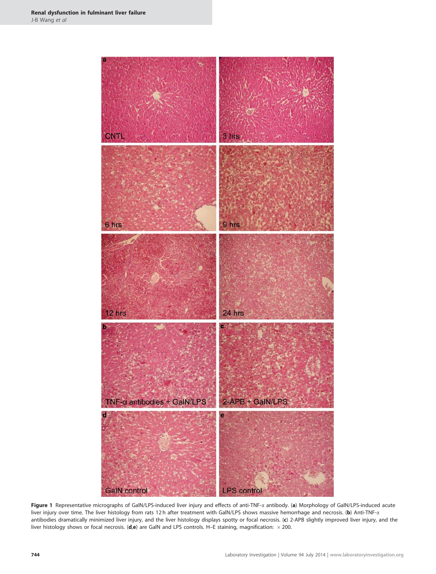<span id="page-5-0"></span>

Figure 1 Representative micrographs of GalN/LPS-induced liver injury and effects of anti-TNF-a antibody. (a) Morphology of GalN/LPS-induced acute liver injury over time. The liver histology from rats 12 h after treatment with GalN/LPS shows massive hemorrhage and necrosis. (b) Anti-TNF-x antibodies dramatically minimized liver injury, and the liver histology displays spotty or focal necrosis. (c) 2-APB slightly improved liver injury, and the liver histology shows or focal necrosis. (d,e) are GalN and LPS controls. H–E staining, magnification:  $\times$  200.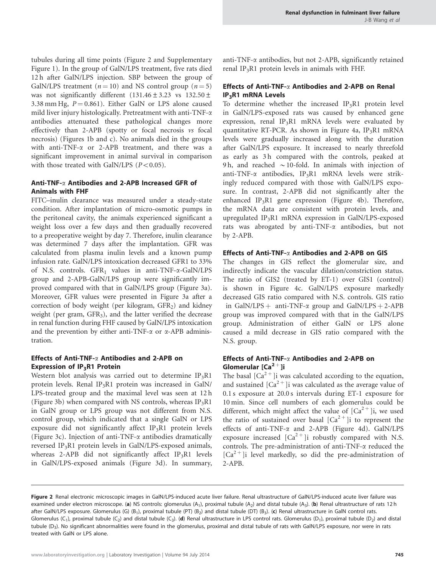tubules during all time points (Figure 2 and Supplementary Figure 1). In the group of GalN/LPS treatment, five rats died 12 h after GalN/LPS injection. SBP between the group of GalN/LPS treatment ( $n = 10$ ) and NS control group ( $n = 5$ ) was not significantly different  $(131.46 \pm 3.23$  vs  $132.50 \pm 1.5$ 3.38 mm Hg,  $P = 0.861$ ). Either GalN or LPS alone caused mild liver injury histologically. Pretreatment with anti-TNF-a antibodies attenuated these pathological changes more effectively than 2-APB (spotty or focal necrosis vs focal necrosis) ([Figures 1b and c\)](#page-5-0). No animals died in the groups with anti-TNF- $\alpha$  or 2-APB treatment, and there was a significant improvement in animal survival in comparison with those treated with GalN/LPS  $(P<0.05)$ .

## Anti-TNF-a Antibodies and 2-APB Increased GFR of Animals with FHF

FITC–inulin clearance was measured under a steady-state condition. After implantation of micro-osmotic pumps in the peritoneal cavity, the animals experienced significant a weight loss over a few days and then gradually recovered to a preoperative weight by day 7. Therefore, inulin clearance was determined 7 days after the implantation. GFR was calculated from plasma inulin levels and a known pump infusion rate. GalN/LPS intoxication decreased GFR1 to 33% of N.S. controls.  $GFR_1$  values in anti-TNF- $\alpha$ -GalN/LPS group and 2-APB-GalN/LPS group were significantly improved compared with that in GalN/LPS group ([Figure 3a\)](#page-8-0). Moreover, GFR values were presented in [Figure 3a](#page-8-0) after a correction of body weight (per kilogram,  $GFR<sub>2</sub>$ ) and kidney weight (per gram, GFR<sub>3</sub>), and the latter verified the decrease in renal function during FHF caused by GalN/LPS intoxication and the prevention by either anti-TNF- $\alpha$  or  $\alpha$ -APB administration.

## Effects of Anti-TNF- $\alpha$  Antibodies and 2-APB on Expression of  $IP_3R1$  Protein

Western blot analysis was carried out to determine  $IP_3R1$ protein levels. Renal  $IP_3R1$  protein was increased in GalN/ LPS-treated group and the maximal level was seen at 12 h [\(Figure 3b](#page-8-0)) when compared with NS controls, whereas  $IP_3R1$ in GalN group or LPS group was not different from N.S. control group, which indicated that a single GalN or LPS exposure did not significantly affect IP3R1 protein levels [\(Figure 3c](#page-8-0)). Injection of anti-TNF-a antibodies dramatically reversed IP3R1 protein levels in GalN/LPS-exposed animals, whereas 2-APB did not significantly affect  $IP_3R1$  levels in GalN/LPS-exposed animals [\(Figure 3d\)](#page-8-0). In summary,

anti-TNF-a antibodies, but not 2-APB, significantly retained renal IP<sub>3</sub>R1 protein levels in animals with FHF.

## Effects of Anti-TNF-a Antibodies and 2-APB on Renal IP3R1 mRNA Levels

To determine whether the increased  $IP_3R1$  protein level in GalN/LPS-exposed rats was caused by enhanced gene expression, renal IP<sub>3</sub>R1 mRNA levels were evaluated by quantitative RT-PCR. As shown in [Figure 4a,](#page-9-0)  $IP_3R1$  mRNA levels were gradually increased along with the duration after GalN/LPS exposure. It increased to nearly threefold as early as 3 h compared with the controls, peaked at 9h, and reached  $\sim$  10-fold. In animals with injection of anti-TNF- $\alpha$  antibodies, IP<sub>3</sub>R1 mRNA levels were strikingly reduced compared with those with GalN/LPS exposure. In contrast, 2-APB did not significantly alter the enhanced  $IP_3R1$  gene expression ([Figure 4b](#page-9-0)). Therefore, the mRNA data are consistent with protein levels, and upregulated IP3R1 mRNA expression in GalN/LPS-exposed rats was abrogated by anti-TNF-a antibodies, but not by 2-APB.

## Effects of Anti-TNF- $\alpha$  Antibodies and 2-APB on GIS

The changes in GIS reflect the glomerular size, and indirectly indicate the vascular dilation/constriction status. The ratio of GIS2 (treated by ET-1) over GIS1 (control) is shown in [Figure 4c](#page-9-0). GalN/LPS exposure markedly decreased GIS ratio compared with N.S. controls. GIS ratio in GalN/LPS + anti-TNF- $\alpha$  group and GalN/LPS + 2-APB group was improved compared with that in the GalN/LPS group. Administration of either GalN or LPS alone caused a mild decrease in GIS ratio compared with the N.S. group.

## Effects of Anti-TNF-a Antibodies and 2-APB on Glomerular  $[Ca<sup>2+</sup>]$ i

The basal  $\lbrack Ca^{2+}\rbrack$  was calculated according to the equation, and sustained  $[Ca^{2+}]$ i was calculated as the average value of 0.1 s exposure at 20.0 s intervals during ET-1 exposure for 10 min. Since cell numbers of each glomerulus could be different, which might affect the value of  $[Ca^{2+}]$ i, we used the ratio of sustained over basal  $[Ca^{2+}]$ i to represent the effects of anti-TNF- $\alpha$  and 2-APB ([Figure 4d\)](#page-9-0). GalN/LPS exposure increased  $[Ca^{2+}]$ i robustly compared with N.S. controls. The pre-administration of anti-TNF-a reduced the  $[Ca<sup>2+</sup>]$ i level markedly, so did the pre-administration of 2-APB.

Figure 2 Renal electronic microscopic images in GalN/LPS-induced acute liver failure. Renal ultrastructure of GalN/LPS-induced acute liver failure was examined under electron microscope. (a) NS controls: glomerulus (A<sub>1</sub>), proximal tubule (A<sub>2</sub>) and distal tubule (A<sub>3</sub>). (b) Renal ultrastructure of rats 12 h after GalN/LPS exposure. Glomerulus (G) (B<sub>1</sub>), proximal tubule (PT) (B<sub>2</sub>) and distal tubule (DT) (B<sub>3</sub>). (c) Renal ultrastructure in GalN control rats. Glomerulus (C<sub>1</sub>), proximal tubule (C<sub>2</sub>) and distal tubule (C<sub>3</sub>). (d) Renal ultrastructure in LPS control rats. Glomerulus (D<sub>1</sub>), proximal tubule (D<sub>2</sub>) and distal tubule (D<sub>3</sub>). No significant abnormalities were found in the glomerulus, proximal and distal tubule of rats with GalN/LPS exposure, nor were in rats treated with GalN or LPS alone.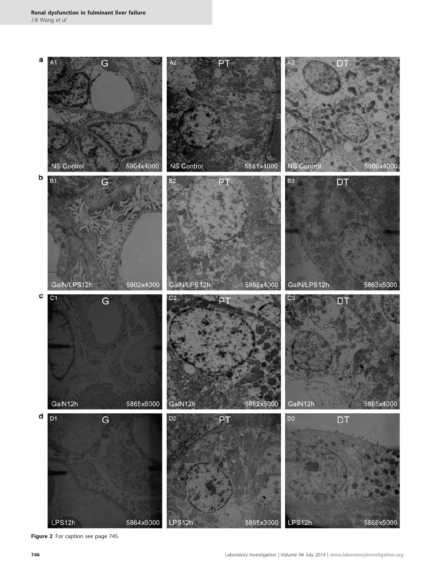

Figure 2 For caption see page 745.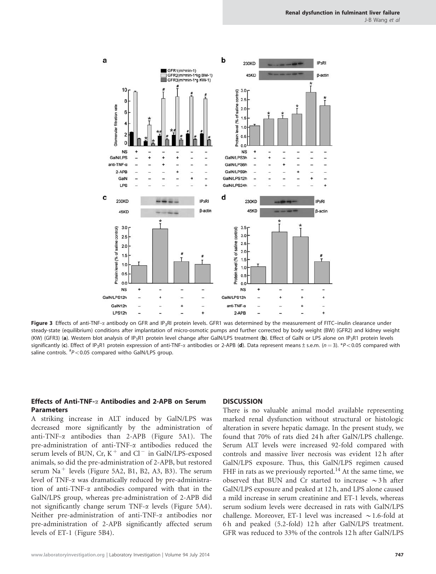<span id="page-8-0"></span>

Figure 3 Effects of anti-TNF-a antibody on GFR and IP<sub>3</sub>RI protein levels. GFR1 was determined by the measurement of FITC-inulin clearance under steady-state (equilibrium) conditions after implantation of micro-osmotic pumps and further corrected by body weight (BW) (GFR2) and kidney weight (KW) (GFR3) (a). Western blot analysis of IP<sub>3</sub>R1 protein level change after GalN/LPS treatment (b). Effect of GalN or LPS alone on IP<sub>3</sub>R1 protein levels significantly (c). Effect of IP<sub>3</sub>R1 protein expression of anti-TNF- $\alpha$  antibodies or 2-APB (d). Data represent means ± s.e.m. (n = 3). \*P<0.05 compared with saline controls.  $^{#}P<0.05$  compared witho GalN/LPS group.

## Effects of Anti-TNF-a Antibodies and 2-APB on Serum Parameters

A striking increase in ALT induced by GalN/LPS was decreased more significantly by the administration of anti-TNF-a antibodies than 2-APB [\(Figure 5A1](#page-10-0)). The pre-administration of anti-TNF-a antibodies reduced the serum levels of BUN, Cr,  $K^+$  and Cl<sup>-</sup> in GalN/LPS-exposed animals, so did the pre-administration of 2-APB, but restored serum  $Na<sup>+</sup>$  levels [\(Figure 5A2, B1, B2, A3, B3](#page-10-0)). The serum level of TNF-a was dramatically reduced by pre-administration of anti-TNF-a antibodies compared with that in the GalN/LPS group, whereas pre-administration of 2-APB did not significantly change serum  $TNF-\alpha$  levels ([Figure 5A4\)](#page-10-0). Neither pre-administration of anti-TNF-a antibodies nor pre-administration of 2-APB significantly affected serum levels of ET-1 [\(Figure 5B4](#page-10-0)).

#### **DISCUSSION**

There is no valuable animal model available representing marked renal dysfunction without structural or histologic alteration in severe hepatic damage. In the present study, we found that 70% of rats died 24 h after GalN/LPS challenge. Serum ALT levels were increased 92-fold compared with controls and massive liver necrosis was evident 12 h after GalN/LPS exposure. Thus, this GalN/LPS regimen caused FHF in rats as we previously reported.<sup>[14](#page-11-0)</sup> At the same time, we observed that BUN and Cr started to increase  $\sim$ 3 h after GalN/LPS exposure and peaked at 12 h, and LPS alone caused a mild increase in serum creatinine and ET-1 levels, whereas serum sodium levels were decreased in rats with GalN/LPS challenge. Moreover, ET-1 level was increased  $\sim$  1.6-fold at 6 h and peaked (5.2-fold) 12 h after GalN/LPS treatment. GFR was reduced to 33% of the controls 12 h after GalN/LPS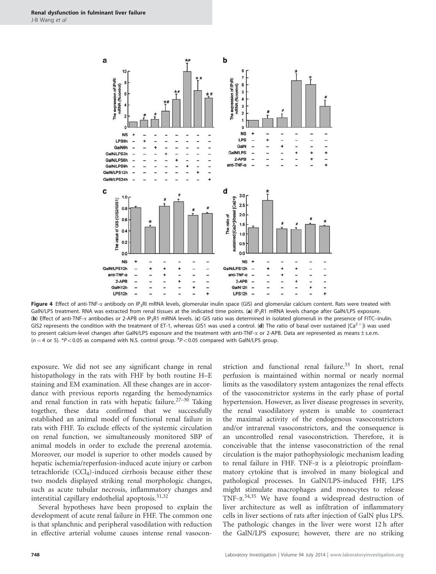<span id="page-9-0"></span>

Figure 4 Effect of anti-TNF- $\alpha$  antibody on IP<sub>3</sub>RI mRNA levels, glomerular inulin space (GIS) and glomerular calcium content. Rats were treated with GalN/LPS treatment. RNA was extracted from renal tissues at the indicated time points. (a) IP<sub>3</sub>R1 mRNA levels change after GalN/LPS exposure. (b) Effect of anti-TNF-a antibodies or 2-APB on IP3R1 mRNA levels. (c) GIS ratio was determined in isolated glomeruli in the presence of FITC–inulin. GIS2 represents the condition with the treatment of ET-1, whereas GIS1 was used a control. (d) The ratio of basal over sustained  $|Ca^{2+}$  ii was used to present calcium-level changes after GalN/LPS exposure and the treatment with anti-TNF- $\alpha$  or 2-APB. Data are represented as means ± s.e.m.  $(n = 4 \text{ or } 5)$ . \*P<0.05 as compared with N.S. control group.  $^{#}P$  <0.05 compared with GalN/LPS group.

exposure. We did not see any significant change in renal histopathology in the rats with FHF by both routine H–E staining and EM examination. All these changes are in accordance with previous reports regarding the hemodynamics and renal function in rats with hepatic failure.<sup>27–30</sup> Taking together, these data confirmed that we successfully established an animal model of functional renal failure in rats with FHF. To exclude effects of the systemic circulation on renal function, we simultaneously monitored SBP of animal models in order to exclude the prerenal azotemia. Moreover, our model is superior to other models caused by hepatic ischemia/reperfusion-induced acute injury or carbon tetrachloride  $(CCl<sub>4</sub>)$ -induced cirrhosis because either these two models displayed striking renal morphologic changes, such as acute tubular necrosis, inflammatory changes and interstitial capillary endothelial apoptosis.<sup>[31,32](#page-12-0)</sup>

Several hypotheses have been proposed to explain the development of acute renal failure in FHF. The common one is that splanchnic and peripheral vasodilation with reduction in effective arterial volume causes intense renal vasoconstriction and functional renal failure. $33$  In short, renal perfusion is maintained within normal or nearly normal limits as the vasodilatory system antagonizes the renal effects of the vasoconstrictor systems in the early phase of portal hypertension. However, as liver disease progresses in severity, the renal vasodilatory system is unable to counteract the maximal activity of the endogenous vasoconstrictors and/or intrarenal vasoconstrictors, and the consequence is an uncontrolled renal vasoconstriction. Therefore, it is conceivable that the intense vasoconstriction of the renal circulation is the major pathophysiologic mechanism leading to renal failure in FHF. TNF-a is a pleiotropic proinflammatory cytokine that is involved in many biological and pathological processes. In GalN/LPS-induced FHF, LPS might stimulate macrophages and monocytes to release TNF- $\alpha$ .<sup>[34,35](#page-12-0)</sup> We have found a widespread destruction of liver architecture as well as infiltration of inflammatory cells in liver sections of rats after injection of GalN plus LPS. The pathologic changes in the liver were worst 12 h after the GalN/LPS exposure; however, there are no striking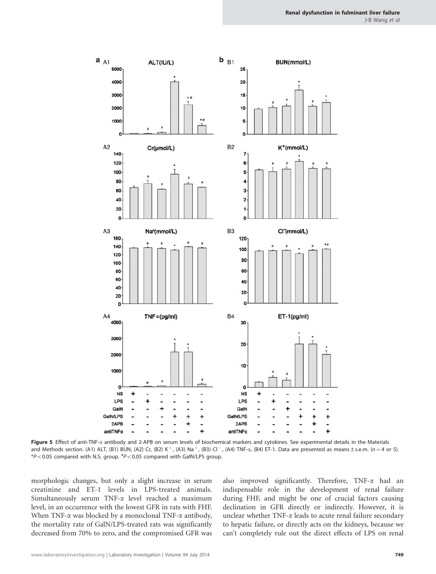<span id="page-10-0"></span>

Figure 5 Effect of anti-TNF- $\alpha$  antibody and 2-APB on serum levels of biochemical markers and cytokines. See experimental details in the Materials and Methods section. (A1) ALT, (B1) BUN, (A2) Cr, (B2) K<sup>+</sup>, (A3) Na<sup>+</sup>, (B3) Cl<sup>-</sup>, (A4) TNF- $\alpha$ , (B4) ET-1. Data are presented as means ± s.e.m. (n = 4 or 5).  $*P< 0.05$  compared with N.S. group.  $*P< 0.05$  compared with GalN/LPS group.

morphologic changes, but only a slight increase in serum creatinine and ET-1 levels in LPS-treated animals. Simultaneously serum TNF- $\alpha$  level reached a maximum level, in an occurrence with the lowest GFR in rats with FHF. When TNF- $\alpha$  was blocked by a monoclonal TNF- $\alpha$  antibody, the mortality rate of GalN/LPS-treated rats was significantly decreased from 70% to zero, and the compromised GFR was also improved significantly. Therefore, TNF-a had an indispensable role in the development of renal failure during FHF, and might be one of crucial factors causing declination in GFR directly or indirectly. However, it is unclear whether  $TNF-\alpha$  leads to acute renal failure secondary to hepatic failure, or directly acts on the kidneys, because we can't completely rule out the direct effects of LPS on renal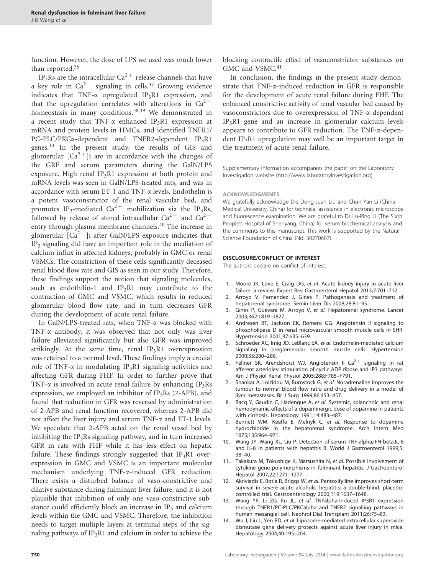<span id="page-11-0"></span>function. However, the dose of LPS we used was much lower than reported.<sup>[36](#page-12-0)</sup>

IP<sub>3</sub>Rs are the intracellular Ca<sup>2+</sup> release channels that have a key role in  $Ca^{2+}$  signaling in cells.<sup>[37](#page-12-0)</sup> Growing evidence indicates that TNF- $\alpha$  upregulated IP<sub>3</sub>R1 expression, and that the upregulation correlates with alterations in  $Ca^{2+}$ homeostasis in many conditions.<sup>[38,39](#page-12-0)</sup> We demonstrated in a recent study that TNF- $\alpha$  enhanced IP<sub>3</sub>R1 expression at mRNA and protein levels in HMCs, and identified TNFR1/ PC-PLC/PKCα-dependent and TNFR2-dependent IP3R1 genes. $^{13}$  In the present study, the results of GIS and glomerular  $\left[Ca^{2+}\right]$ i are in accordance with the changes of the GRF and serum parameters during the GalN/LPS exposure. High renal  $IP_3R1$  expression at both protein and mRNA levels was seen in GalN/LPS-treated rats, and was in accordance with serum ET-1 and TNF-a levels. Endothelin is a potent vasoconstrictor of the renal vascular bed, and promotes IP<sub>3</sub>-mediated Ca<sup>2+</sup> mobilization via the IP<sub>3</sub>Rs, followed by release of stored intracellular  $Ca^{2+}$  and  $Ca^{2+}$ entry through plasma membrane channels.<sup>[40](#page-12-0)</sup> The increase in glomerular  $[Ca^{2+}]$ i after GalN/LPS exposure indicates that IP3 signaling did have an important role in the mediation of calcium influx in affected kidneys, probably in GMC or renal VSMCs. The constriction of these cells significantly deceased renal blood flow rate and GIS as seen in our study. Therefore, these findings support the notion that signaling molecules, such as endothilin-1 and  $IP_3R1$  may contribute to the contraction of GMC and VSMC, which results in reduced glomerular blood flow rate, and in turn decreases GFR during the development of acute renal failure.

In GalN/LPS-treated rats, when TNF-a was blocked with TNF- $\alpha$  antibody, it was observed that not only was liver failure alleviated significantly but also GFR was improved strikingly. At the same time, renal  $IP_3R1$  overexpression was retained to a normal level. These findings imply a crucial role of TNF- $\alpha$  in modulating IP<sub>3</sub>R1 signaling activities and affecting GFR during FHF. In order to further prove that TNF- $\alpha$  is involved in acute renal failure by enhancing IP<sub>3</sub>Rs expression, we employed an inhibitor of  $IP_3Rs$  (2-APB), and found that reduction in GFR was reversed by administration of 2-APB and renal function recovered, whereas 2-APB did not affect the liver injury and serum TNF- $\alpha$  and ET-1 levels. We speculate that 2-APB acted on the renal vessel bed by inhibiting the  $IP_3Rs$  signaling pathway, and in turn increased GFR in rats with FHF while it has less effect on hepatic failure. These findings strongly suggested that  $IP_3R1$  overexpression in GMC and VSMC is an important molecular mechanism underlying TNF-a-induced GFR reduction. There exists a disturbed balance of vaso-constrictive and dilative substance during fulminant liver failure, and it is not plausible that inhibition of only one vaso-constrictive substance could efficiently block an increase in  $IP_3$  and calcium levels within the GMC and VSMC. Therefore, the inhibition needs to target multiple layers at terminal steps of the signaling pathways of  $IP_3R1$  and calcium in order to achieve the

blocking contractile effect of vasoconstrictor substances on GMC and VSMC.<sup>[41](#page-12-0)</sup>

In conclusion, the findings in the present study demonstrate that TNF-a-induced reduction in GFR is responsible for the development of acute renal failure during FHF. The enhanced constrictive activity of renal vascular bed caused by vasoconstrictors due to overexpression of TNF-a-dependent IP3R1 gene and an increase in glomerular calcium levels appears to contribute to GFR reduction. The TNF-a-dependent IP<sub>3</sub>R1 upregulation may well be an important target in the treatment of acute renal failure.

Supplementary Information accompanies the paper on the Laboratory Investigation website [\(http://www.laboratoryinvestigation.org](http://www.laboratoryinvestigation.org))

#### ACKNOWLEDGMENTS

We gratefully acknowledge Drs Dong-Juan Liu and Chun-Yan Li (China Medical University, China) for technical assistance in electronic microscope and fluorescence examination. We are grateful to Dr Lu-Ping Li (The Sixth People's Hospital of Shenyang, China) for serum biochemical analysis and the comments to this manuscript. This work is supported by the Natural Science Foundation of China (No. 30270607).

#### DISCLOSURE/CONFLICT OF INTEREST

The authors declare no conflict of interest.

- 1. Moore JK, Love E, Craig DG, et al. Acute kidney injury in acute liver failure: a review. Expert Rev Gastroenterol Hepatol 2013;7:701–712.
- 2. Arroyo V, Fernandez J, Gines P. Pathogenesis and treatment of hepatorenal syndrome. Semin Liver Dis 2008;28:81–95.
- 3. Gines P, Guevara M, Arroyo V, et al. Hepatorenal syndrome. Lancet 2003;362:1819–1827.
- 4. Andresen BT, Jackson EK, Romero GG. Angiotensin II signaling to phospholipase D in renal microvascular smooth muscle cells in SHR. Hypertension 2001;37:635–639.
- 5. Schroeder AC, Imig JD, LeBlanc EA, et al. Endothelin-mediated calcium signaling in preglomerular smooth muscle cells. Hypertension 2000;35:280–286.
- 6. Fellner SK, Arendshorst WJ. Angiotensin II Ca<sup>2+</sup> signaling in rat afferent arterioles: stimulation of cyclic ADP ribose and IP3 pathways. Am J Physiol Renal Physiol 2005;288:F785–F791.
- 7. Shankar A, Loizidou M, Burnstock G, et al. Noradrenaline improves the tumour to normal blood flow ratio and drug delivery in a model of liver metastases. Br J Surg 1999;86:453–457.
- 8. Bacq Y, Gaudin C, Hadengue A, et al. Systemic, splanchnic and renal hemodynamic effects of a dopaminergic dose of dopamine in patients with cirrhosis. Hepatology 1991;14:483–487.
- 9. Bennett WM, Keeffe E, Melnyk C, et al. Response to dopamine hydrochloride in the hepatorenal syndrome. Arch Intern Med 1975;135:964–971.
- 10. Wang JY, Wang XL, Liu P. Detection of serum TNF-alpha,IFN-beta,IL-6 and IL-8 in patients with hepatitis B. World J Gastroenterol 1999;5: 38–40.
- 11. Takakura M, Tokushige K, Matsushita N, et al. Possible involvement of cytokine gene polymorphisms in fulminant hepatitis. J Gastroenterol Hepatol 2007;22:1271–1277.
- 12. Akriviadis E, Botla R, Briggs W, et al. Pentoxifylline improves short-term survival in severe acute alcoholic hepatitis: a double-blind, placebocontrolled trial. Gastroenterology 2000;119:1637–1648.
- 13. Wang YR, Li ZG, Fu JL, et al. TNFalpha-induced IP3R1 expression through TNFR1/PC-PLC/PKCalpha and TNFR2 signalling pathways in human mesangial cell. Nephrol Dial Transplant 2011;26:75–83.
- 14. Wu J, Liu L, Yen RD, et al. Liposome-mediated extracellular superoxide dismutase gene delivery protects against acute liver injury in mice. Hepatology 2004;40:195–204.